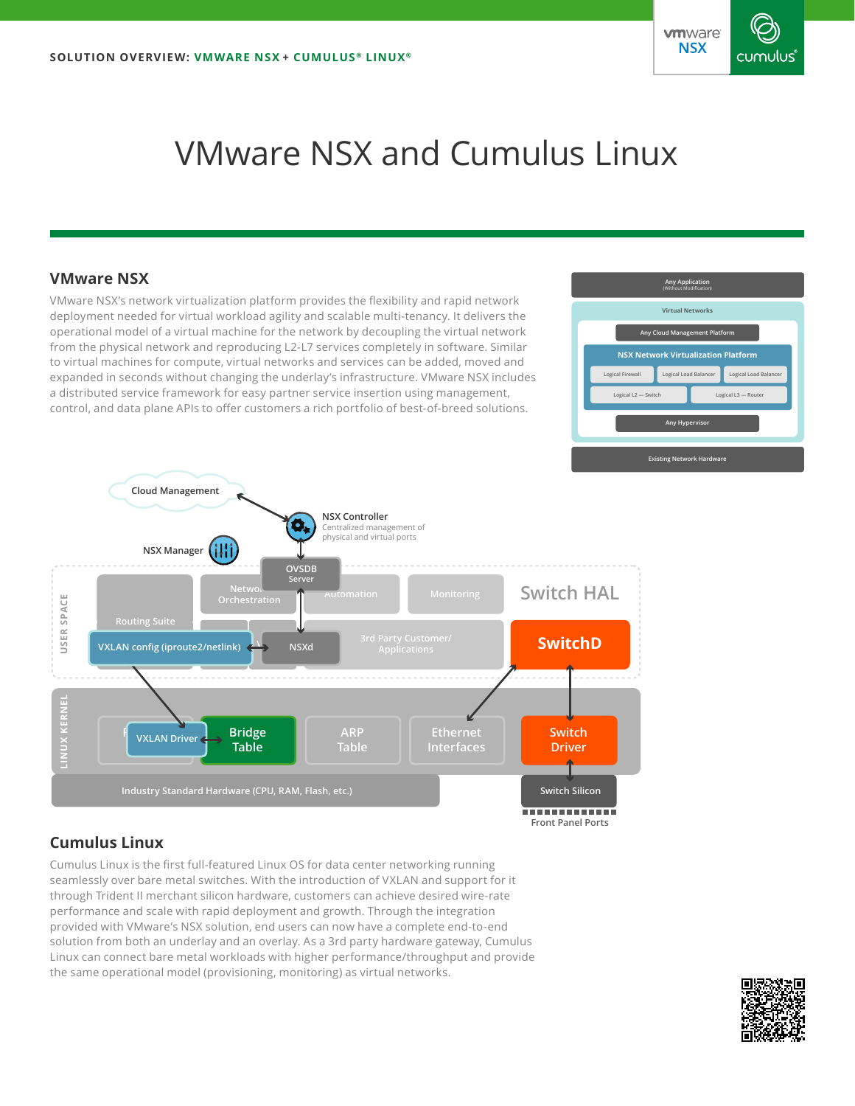

# VMware NSX and Cumulus Linux

## **VMware NSX**

VMware NSX's network virtualization platform provides the flexibility and rapid network deployment needed for virtual workload agility and scalable multi-tenancy. It delivers the operational model of a virtual machine for the network by decoupling the virtual network from the physical network and reproducing L2-L7 services completely in software. Similar to virtual machines for compute, virtual networks and services can be added, moved and expanded in seconds without changing the underlay's infrastructure. VMware NSX includes a distributed service framework for easy partner service insertion using management, control, and data plane APIs to offer customers a rich portfolio of best-of-breed solutions.





# **Cumulus Linux**

Cumulus Linux is the first full-featured Linux OS for data center networking running seamlessly over bare metal switches. With the introduction of VXLAN and support for it through Trident II merchant silicon hardware, customers can achieve desired wire-rate performance and scale with rapid deployment and growth. Through the integration provided with VMware's NSX solution, end users can now have a complete end-to-end solution from both an underlay and an overlay. As a 3rd party hardware gateway, Cumulus Linux can connect bare metal workloads with higher performance/throughput and provide the same operational model (provisioning, monitoring) as virtual networks.